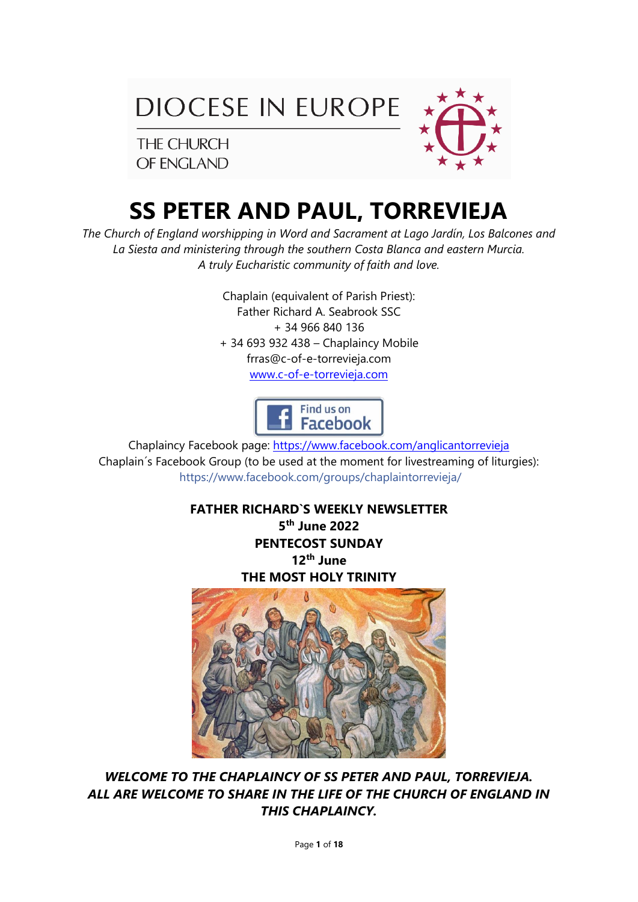

THE CHURCH OF FNGI AND



# **SS PETER AND PAUL, TORREVIEJA**

*The Church of England worshipping in Word and Sacrament at Lago Jardín, Los Balcones and La Siesta and ministering through the southern Costa Blanca and eastern Murcia. A truly Eucharistic community of faith and love.*

> Chaplain (equivalent of Parish Priest): Father Richard A. Seabrook SSC + 34 966 840 136 + 34 693 932 438 – Chaplaincy Mobile frras@c-of-e-torrevieja.com [www.c-of-e-torrevieja.com](http://www.c-of-e-torrevieja.com/)



Chaplaincy Facebook page: https://www.facebook.com/anglicantorrevieja Chaplain´s Facebook Group (to be used at the moment for livestreaming of liturgies): <https://www.facebook.com/groups/chaplaintorrevieja/>

> **FATHER RICHARD`S WEEKLY NEWSLETTER 5 th June 2022 PENTECOST SUNDAY 12th June THE MOST HOLY TRINITY**



*WELCOME TO THE CHAPLAINCY OF SS PETER AND PAUL, TORREVIEJA. ALL ARE WELCOME TO SHARE IN THE LIFE OF THE CHURCH OF ENGLAND IN THIS CHAPLAINCY.*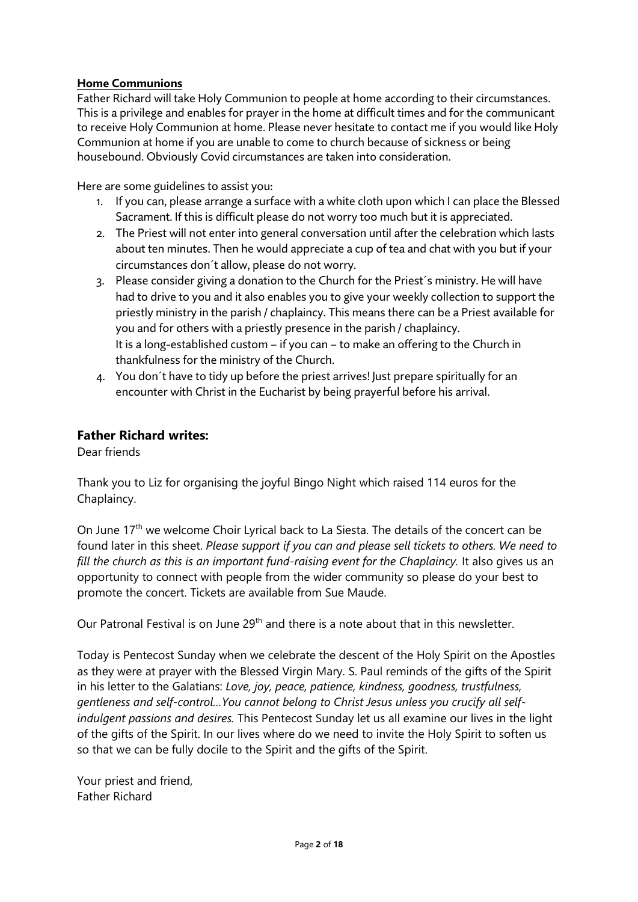#### **Home Communions**

Father Richard will take Holy Communion to people at home according to their circumstances. This is a privilege and enables for prayer in the home at difficult times and for the communicant to receive Holy Communion at home. Please never hesitate to contact me if you would like Holy Communion at home if you are unable to come to church because of sickness or being housebound. Obviously Covid circumstances are taken into consideration.

Here are some guidelines to assist you:

- 1. If you can, please arrange a surface with a white cloth upon which I can place the Blessed Sacrament. If this is difficult please do not worry too much but it is appreciated.
- 2. The Priest will not enter into general conversation until after the celebration which lasts about ten minutes. Then he would appreciate a cup of tea and chat with you but if your circumstances don´t allow, please do not worry.
- 3. Please consider giving a donation to the Church for the Priest´s ministry. He will have had to drive to you and it also enables you to give your weekly collection to support the priestly ministry in the parish / chaplaincy. This means there can be a Priest available for you and for others with a priestly presence in the parish / chaplaincy. It is a long-established custom – if you can – to make an offering to the Church in thankfulness for the ministry of the Church.
- 4. You don´t have to tidy up before the priest arrives! Just prepare spiritually for an encounter with Christ in the Eucharist by being prayerful before his arrival.

#### **Father Richard writes:**

Dear friends

Thank you to Liz for organising the joyful Bingo Night which raised 114 euros for the Chaplaincy.

On June 17<sup>th</sup> we welcome Choir Lyrical back to La Siesta. The details of the concert can be found later in this sheet. *Please support if you can and please sell tickets to others. We need to*  fill the church as this is an important fund-raising event for the Chaplaincy. It also gives us an opportunity to connect with people from the wider community so please do your best to promote the concert. Tickets are available from Sue Maude.

Our Patronal Festival is on June 29<sup>th</sup> and there is a note about that in this newsletter.

Today is Pentecost Sunday when we celebrate the descent of the Holy Spirit on the Apostles as they were at prayer with the Blessed Virgin Mary. S. Paul reminds of the gifts of the Spirit in his letter to the Galatians: *Love, joy, peace, patience, kindness, goodness, trustfulness, gentleness and self-control…You cannot belong to Christ Jesus unless you crucify all selfindulgent passions and desires.* This Pentecost Sunday let us all examine our lives in the light of the gifts of the Spirit. In our lives where do we need to invite the Holy Spirit to soften us so that we can be fully docile to the Spirit and the gifts of the Spirit.

Your priest and friend, Father Richard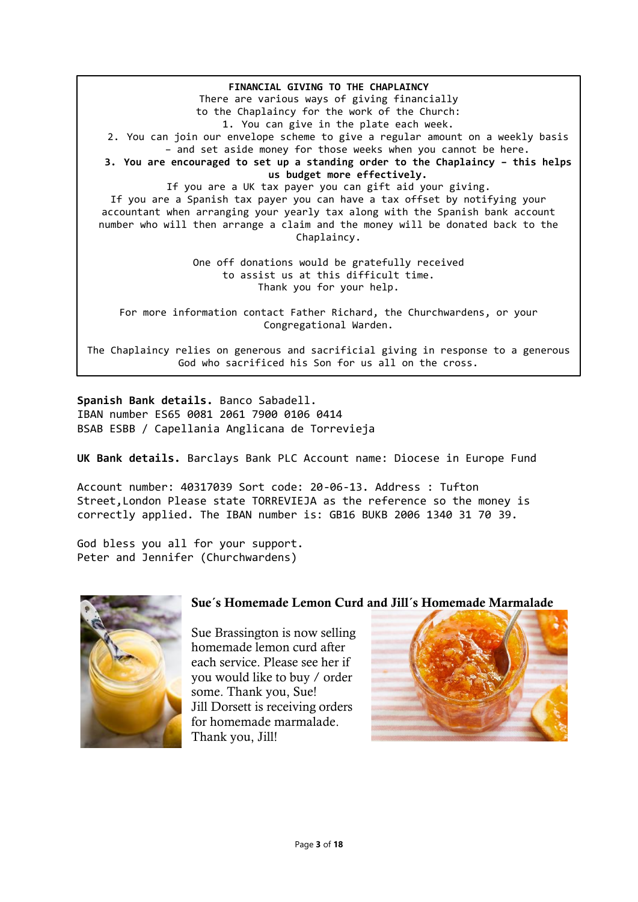**FINANCIAL GIVING TO THE CHAPLAINCY** There are various ways of giving financially to the Chaplaincy for the work of the Church: 1. You can give in the plate each week. 2. You can join our envelope scheme to give a regular amount on a weekly basis - and set aside money for those weeks when you cannot be here. **3. You are encouraged to set up a standing order to the Chaplaincy – this helps us budget more effectively.** If you are a UK tax payer you can gift aid your giving. If you are a Spanish tax payer you can have a tax offset by notifying your accountant when arranging your yearly tax along with the Spanish bank account number who will then arrange a claim and the money will be donated back to the Chaplaincy. One off donations would be gratefully received to assist us at this difficult time. Thank you for your help. For more information contact Father Richard, the Churchwardens, or your Congregational Warden. The Chaplaincy relies on generous and sacrificial giving in response to a generous God who sacrificed his Son for us all on the cross.

**Spanish Bank details.** Banco Sabadell. IBAN number ES65 0081 2061 7900 0106 0414 BSAB ESBB / Capellania Anglicana de Torrevieja

**UK Bank details.** Barclays Bank PLC Account name: Diocese in Europe Fund

Account number: 40317039 Sort code: 20-06-13. Address : Tufton Street,London Please state TORREVIEJA as the reference so the money is correctly applied. The IBAN number is: GB16 BUKB 2006 1340 31 70 39.

God bless you all for your support. Peter and Jennifer (Churchwardens)



#### Sue´s Homemade Lemon Curd and Jill´s Homemade Marmalade

Sue Brassington is now selling homemade lemon curd after each service. Please see her if you would like to buy / order some. Thank you, Sue! Jill Dorsett is receiving orders for homemade marmalade. Thank you, Jill!

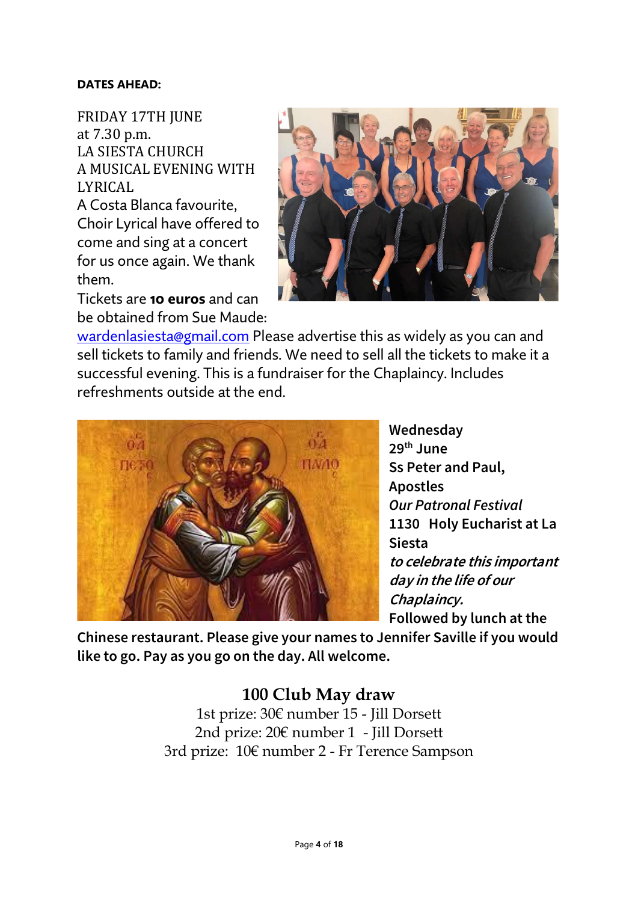#### **DATES AHEAD:**

FRIDAY 17TH JUNE at 7.30 p.m. LA SIESTA CHURCH A MUSICAL EVENING WITH LYRICAL

A Costa Blanca favourite, Choir Lyrical have offered to come and sing at a concert for us once again. We thank them.

Tickets are **10 euros** and can be obtained from Sue Maude:



[wardenlasiesta@gmail.com](mailto:wardenlasiesta@gmail.com) Please advertise this as widely as you can and sell tickets to family and friends. We need to sell all the tickets to make it a successful evening. This is a fundraiser for the Chaplaincy. Includes refreshments outside at the end.



**Wednesday 29th June Ss Peter and Paul, Apostles** *Our Patronal Festival* **1130 Holy Eucharist at La Siesta to celebrate this important day in the life of our Chaplaincy. Followed by lunch at the** 

**Chinese restaurant. Please give your names to Jennifer Saville if you would like to go. Pay as you go on the day. All welcome.**

## **100 Club May draw**

1st prize: 30€ number 15 - Jill Dorsett 2nd prize: 20€ number 1 - Jill Dorsett 3rd prize: 10€ number 2 - Fr Terence Sampson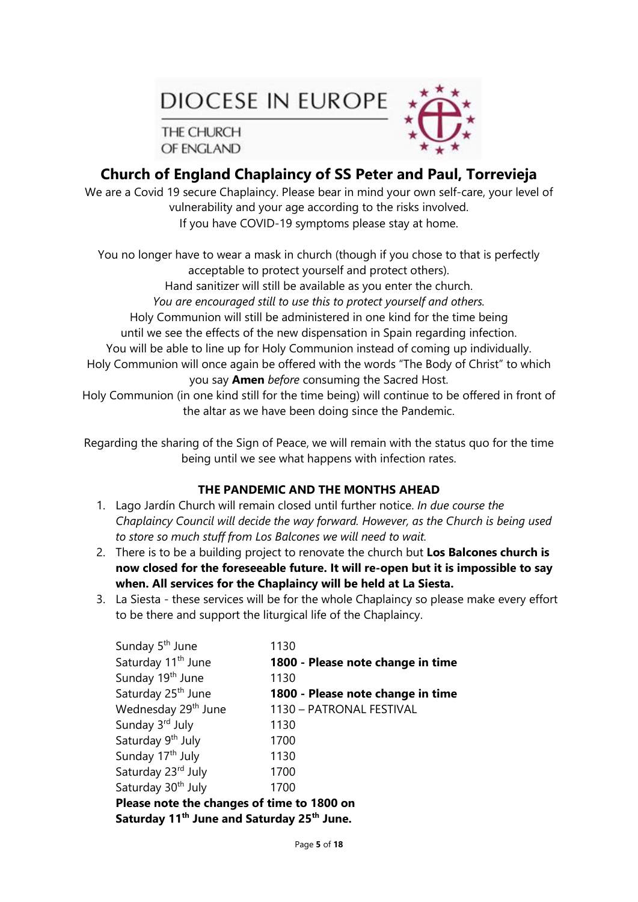# DIOCESE IN EUROPE

THE CHURCH OF ENGLAND



### **Church of England Chaplaincy of SS Peter and Paul, Torrevieja**

We are a Covid 19 secure Chaplaincy. Please bear in mind your own self-care, your level of vulnerability and your age according to the risks involved. If you have COVID-19 symptoms please stay at home.

You no longer have to wear a mask in church (though if you chose to that is perfectly acceptable to protect yourself and protect others).

Hand sanitizer will still be available as you enter the church.

*You are encouraged still to use this to protect yourself and others.*

Holy Communion will still be administered in one kind for the time being

until we see the effects of the new dispensation in Spain regarding infection.

You will be able to line up for Holy Communion instead of coming up individually. Holy Communion will once again be offered with the words "The Body of Christ" to which you say **Amen** *before* consuming the Sacred Host.

Holy Communion (in one kind still for the time being) will continue to be offered in front of the altar as we have been doing since the Pandemic.

Regarding the sharing of the Sign of Peace, we will remain with the status quo for the time being until we see what happens with infection rates.

#### **THE PANDEMIC AND THE MONTHS AHEAD**

- 1. Lago Jardín Church will remain closed until further notice. *In due course the Chaplaincy Council will decide the way forward. However, as the Church is being used to store so much stuff from Los Balcones we will need to wait.*
- 2. There is to be a building project to renovate the church but **Los Balcones church is now closed for the foreseeable future. It will re-open but it is impossible to say when. All services for the Chaplaincy will be held at La Siesta.**
- 3. La Siesta these services will be for the whole Chaplaincy so please make every effort to be there and support the liturgical life of the Chaplaincy.

| Sunday 5 <sup>th</sup> June                | 1130                              |  |  |  |
|--------------------------------------------|-----------------------------------|--|--|--|
| Saturday 11 <sup>th</sup> June             | 1800 - Please note change in time |  |  |  |
| Sunday 19 <sup>th</sup> June               | 1130                              |  |  |  |
| Saturday 25 <sup>th</sup> June             | 1800 - Please note change in time |  |  |  |
| Wednesday 29 <sup>th</sup> June            | 1130 - PATRONAL FESTIVAL          |  |  |  |
| Sunday 3rd July                            | 1130                              |  |  |  |
| Saturday 9 <sup>th</sup> July              | 1700                              |  |  |  |
| Sunday 17 <sup>th</sup> July               | 1130                              |  |  |  |
| Saturday 23rd July                         | 1700                              |  |  |  |
| Saturday 30 <sup>th</sup> July             | 1700                              |  |  |  |
| Please note the changes of time to 1800 on |                                   |  |  |  |

**Saturday 11th June and Saturday 25th June.**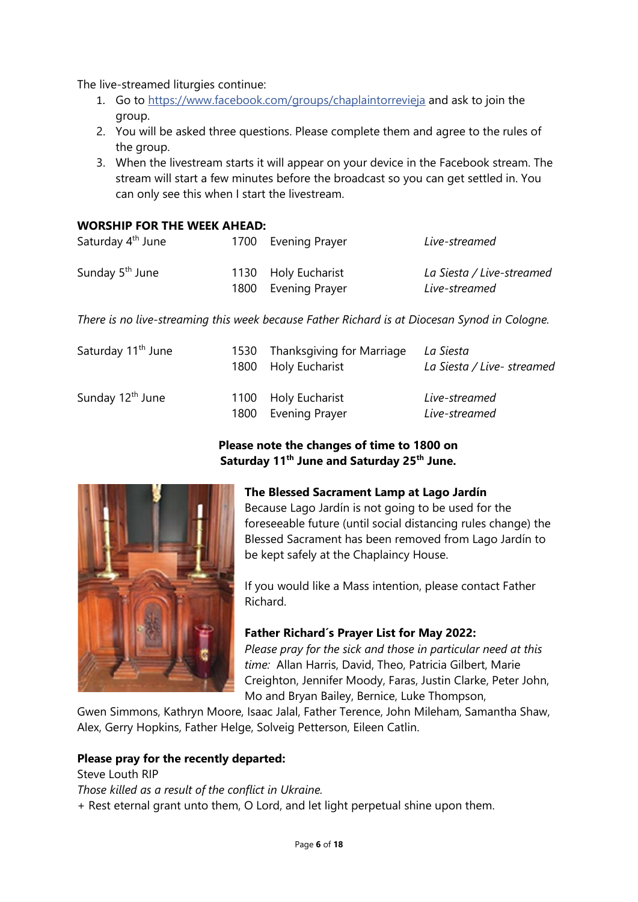The live-streamed liturgies continue:

- 1. Go to [https://www.facebook.com/groups/chaplaintorrevieja](https://www.facebook.com/groups/chaplaintorrevieja/) and ask to join the group.
- 2. You will be asked three questions. Please complete them and agree to the rules of the group.
- 3. When the livestream starts it will appear on your device in the Facebook stream. The stream will start a few minutes before the broadcast so you can get settled in. You can only see this when I start the livestream.

#### **WORSHIP FOR THE WEEK AHEAD:**

| Saturday 4 <sup>th</sup> June | 1700 Evening Prayer                        | Live-streamed                              |
|-------------------------------|--------------------------------------------|--------------------------------------------|
| Sunday 5 <sup>th</sup> June   | 1130 Holy Eucharist<br>1800 Evening Prayer | La Siesta / Live-streamed<br>Live-streamed |

*There is no live-streaming this week because Father Richard is at Diocesan Synod in Cologne.*

| Saturday 11 <sup>th</sup> June | 1530 Thanksgiving for Marriage<br>1800 Holy Eucharist | La Siesta<br>La Siesta / Live- streamed |
|--------------------------------|-------------------------------------------------------|-----------------------------------------|
| Sunday 12 <sup>th</sup> June   | 1100 Holy Eucharist<br>1800 Evening Prayer            | Live-streamed<br>Live-streamed          |

#### **Please note the changes of time to 1800 on Saturday 11th June and Saturday 25th June.**



#### **The Blessed Sacrament Lamp at Lago Jardín**

Because Lago Jardín is not going to be used for the foreseeable future (until social distancing rules change) the Blessed Sacrament has been removed from Lago Jardín to be kept safely at the Chaplaincy House.

If you would like a Mass intention, please contact Father Richard.

#### **Father Richard´s Prayer List for May 2022:**

*Please pray for the sick and those in particular need at this time:* Allan Harris, David, Theo, Patricia Gilbert, Marie Creighton, Jennifer Moody, Faras, Justin Clarke, Peter John, Mo and Bryan Bailey, Bernice, Luke Thompson,

Gwen Simmons, Kathryn Moore, Isaac Jalal, Father Terence, John Mileham, Samantha Shaw, Alex, Gerry Hopkins, Father Helge, Solveig Petterson, Eileen Catlin.

#### **Please pray for the recently departed:**

Steve Louth RIP

*Those killed as a result of the conflict in Ukraine.*

+ Rest eternal grant unto them, O Lord, and let light perpetual shine upon them.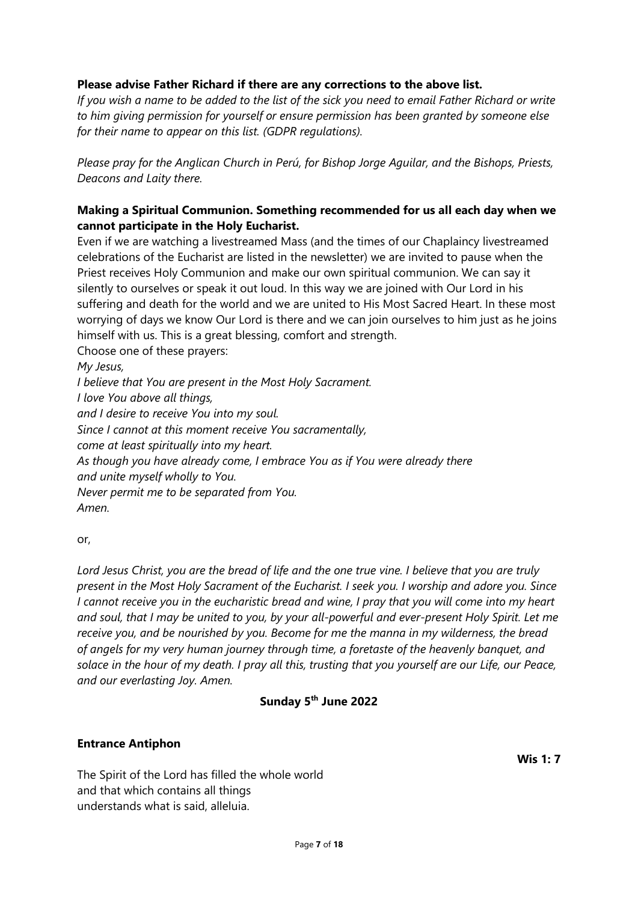#### **Please advise Father Richard if there are any corrections to the above list.**

*If you wish a name to be added to the list of the sick you need to email Father Richard or write to him giving permission for yourself or ensure permission has been granted by someone else for their name to appear on this list. (GDPR regulations).* 

*Please pray for the Anglican Church in Perú, for Bishop Jorge Aguilar, and the Bishops, Priests, Deacons and Laity there.*

#### **Making a Spiritual Communion. Something recommended for us all each day when we cannot participate in the Holy Eucharist.**

Even if we are watching a livestreamed Mass (and the times of our Chaplaincy livestreamed celebrations of the Eucharist are listed in the newsletter) we are invited to pause when the Priest receives Holy Communion and make our own spiritual communion. We can say it silently to ourselves or speak it out loud. In this way we are joined with Our Lord in his suffering and death for the world and we are united to His Most Sacred Heart. In these most worrying of days we know Our Lord is there and we can join ourselves to him just as he joins himself with us. This is a great blessing, comfort and strength.

Choose one of these prayers: *My Jesus, I believe that You are present in the Most Holy Sacrament. I love You above all things, and I desire to receive You into my soul. Since I cannot at this moment receive You sacramentally, come at least spiritually into my heart. As though you have already come, I embrace You as if You were already there and unite myself wholly to You. Never permit me to be separated from You. Amen.*

or,

*Lord Jesus Christ, you are the bread of life and the one true vine. I believe that you are truly present in the Most Holy Sacrament of the Eucharist. I seek you. I worship and adore you. Since I cannot receive you in the eucharistic bread and wine, I pray that you will come into my heart and soul, that I may be united to you, by your all-powerful and ever-present Holy Spirit. Let me receive you, and be nourished by you. Become for me the manna in my wilderness, the bread of angels for my very human journey through time, a foretaste of the heavenly banquet, and solace in the hour of my death. I pray all this, trusting that you yourself are our Life, our Peace, and our everlasting Joy. Amen.*

#### **Sunday 5 th June 2022**

#### **Entrance Antiphon**

The Spirit of the Lord has filled the whole world and that which contains all things understands what is said, alleluia.

**Wis 1: 7**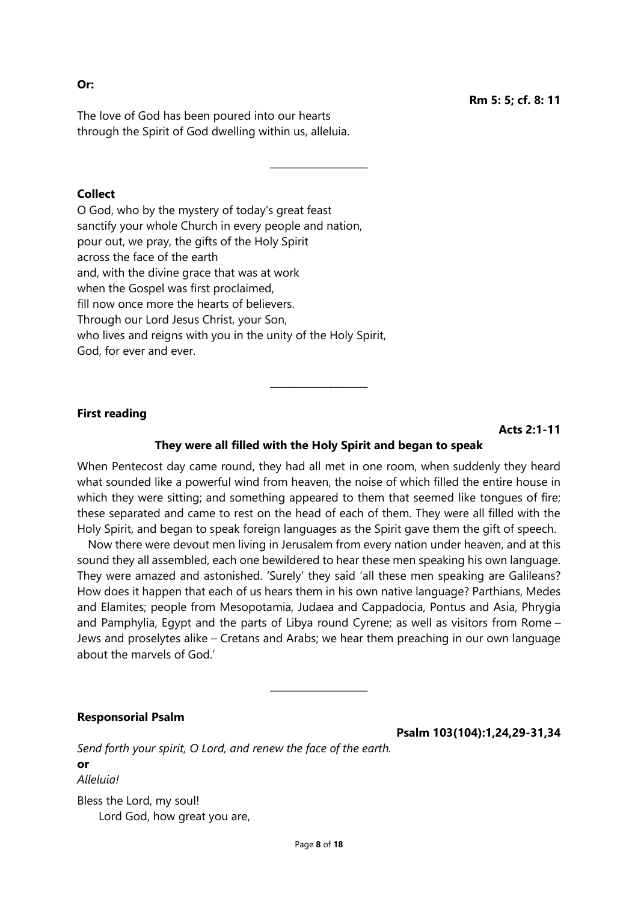The love of God has been poured into our hearts through the Spirit of God dwelling within us, alleluia.

#### **Collect**

O God, who by the mystery of today's great feast sanctify your whole Church in every people and nation, pour out, we pray, the gifts of the Holy Spirit across the face of the earth and, with the divine grace that was at work when the Gospel was first proclaimed, fill now once more the hearts of believers. Through our Lord Jesus Christ, your Son, who lives and reigns with you in the unity of the Holy Spirit, God, for ever and ever.

**First reading**

#### **Acts 2:1-11**

#### **They were all filled with the Holy Spirit and began to speak**

\_\_\_\_\_\_\_\_\_\_\_\_\_\_\_\_\_\_\_\_

 $\overline{\phantom{a}}$  , where  $\overline{\phantom{a}}$ 

When Pentecost day came round, they had all met in one room, when suddenly they heard what sounded like a powerful wind from heaven, the noise of which filled the entire house in which they were sitting; and something appeared to them that seemed like tongues of fire; these separated and came to rest on the head of each of them. They were all filled with the Holy Spirit, and began to speak foreign languages as the Spirit gave them the gift of speech.

Now there were devout men living in Jerusalem from every nation under heaven, and at this sound they all assembled, each one bewildered to hear these men speaking his own language. They were amazed and astonished. 'Surely' they said 'all these men speaking are Galileans? How does it happen that each of us hears them in his own native language? Parthians, Medes and Elamites; people from Mesopotamia, Judaea and Cappadocia, Pontus and Asia, Phrygia and Pamphylia, Egypt and the parts of Libya round Cyrene; as well as visitors from Rome – Jews and proselytes alike – Cretans and Arabs; we hear them preaching in our own language about the marvels of God.'

 $\overline{\phantom{a}}$  , where  $\overline{\phantom{a}}$ 

#### **Responsorial Psalm**

**Psalm 103(104):1,24,29-31,34**

*Send forth your spirit, O Lord, and renew the face of the earth.* **or** *Alleluia!* Bless the Lord, my soul! Lord God, how great you are,

#### **Or:**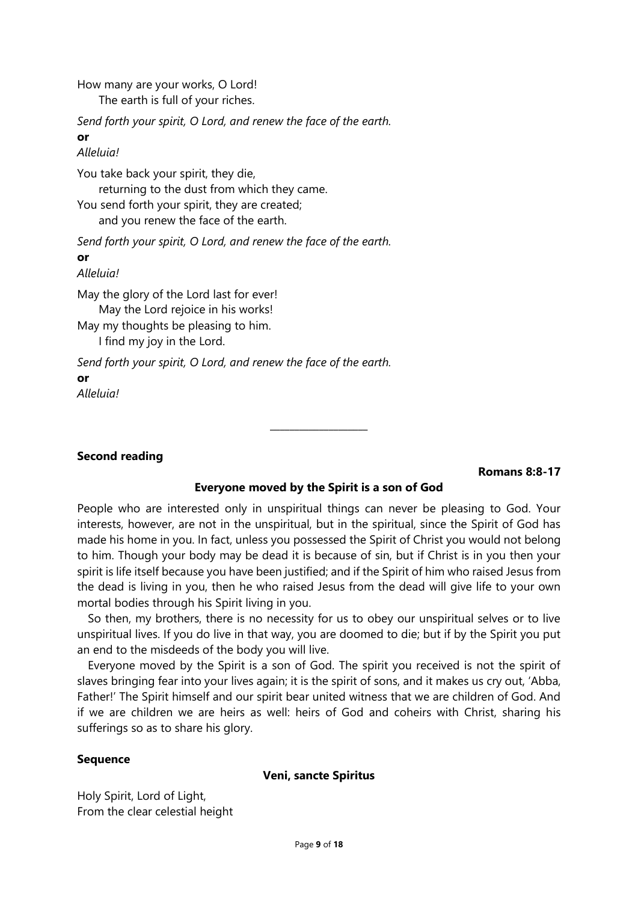How many are your works, O Lord! The earth is full of your riches.

*Send forth your spirit, O Lord, and renew the face of the earth.* **or** *Alleluia!* You take back your spirit, they die, returning to the dust from which they came. You send forth your spirit, they are created; and you renew the face of the earth. *Send forth your spirit, O Lord, and renew the face of the earth.* **or**

*Alleluia!*

May the glory of the Lord last for ever!

May the Lord rejoice in his works!

May my thoughts be pleasing to him.

I find my joy in the Lord.

*Send forth your spirit, O Lord, and renew the face of the earth.*

**or**

*Alleluia!*

#### **Second reading**

#### **Romans 8:8-17**

#### **Everyone moved by the Spirit is a son of God**

\_\_\_\_\_\_\_\_\_\_\_\_\_\_\_\_\_\_\_\_

People who are interested only in unspiritual things can never be pleasing to God. Your interests, however, are not in the unspiritual, but in the spiritual, since the Spirit of God has made his home in you. In fact, unless you possessed the Spirit of Christ you would not belong to him. Though your body may be dead it is because of sin, but if Christ is in you then your spirit is life itself because you have been justified; and if the Spirit of him who raised Jesus from the dead is living in you, then he who raised Jesus from the dead will give life to your own mortal bodies through his Spirit living in you.

So then, my brothers, there is no necessity for us to obey our unspiritual selves or to live unspiritual lives. If you do live in that way, you are doomed to die; but if by the Spirit you put an end to the misdeeds of the body you will live.

Everyone moved by the Spirit is a son of God. The spirit you received is not the spirit of slaves bringing fear into your lives again; it is the spirit of sons, and it makes us cry out, 'Abba, Father!' The Spirit himself and our spirit bear united witness that we are children of God. And if we are children we are heirs as well: heirs of God and coheirs with Christ, sharing his sufferings so as to share his glory.

#### **Sequence**

#### **Veni, sancte Spiritus**

Holy Spirit, Lord of Light, From the clear celestial height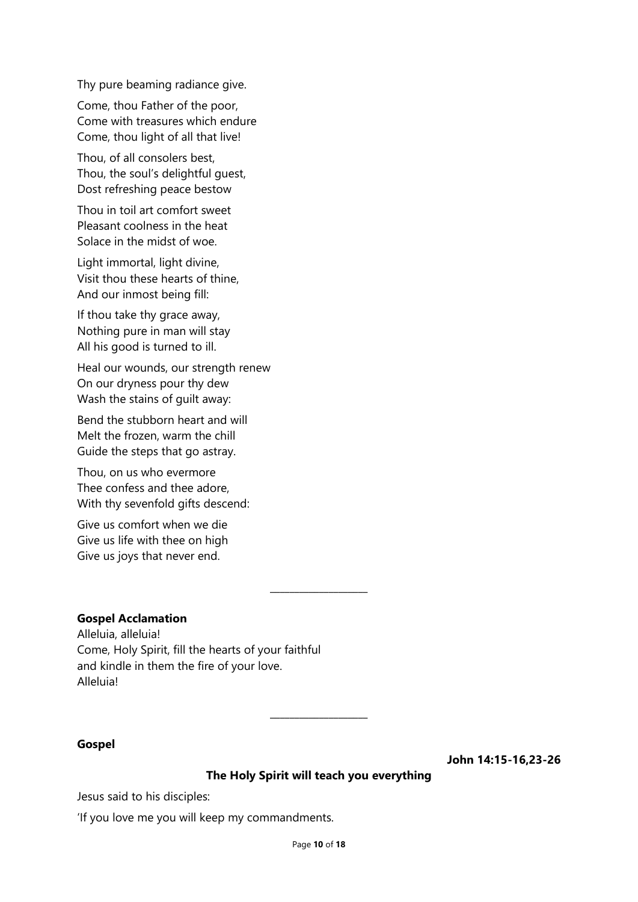Thy pure beaming radiance give.

Come, thou Father of the poor, Come with treasures which endure Come, thou light of all that live!

Thou, of all consolers best, Thou, the soul's delightful guest, Dost refreshing peace bestow

Thou in toil art comfort sweet Pleasant coolness in the heat Solace in the midst of woe.

Light immortal, light divine, Visit thou these hearts of thine, And our inmost being fill:

If thou take thy grace away, Nothing pure in man will stay All his good is turned to ill.

Heal our wounds, our strength renew On our dryness pour thy dew Wash the stains of guilt away:

Bend the stubborn heart and will Melt the frozen, warm the chill Guide the steps that go astray.

Thou, on us who evermore Thee confess and thee adore, With thy sevenfold gifts descend:

Give us comfort when we die Give us life with thee on high Give us joys that never end.

#### **Gospel Acclamation**

Alleluia, alleluia! Come, Holy Spirit, fill the hearts of your faithful and kindle in them the fire of your love. Alleluia!

#### **Gospel**

**John 14:15-16,23-26**

**The Holy Spirit will teach you everything**

\_\_\_\_\_\_\_\_\_\_\_\_\_\_\_\_\_\_\_\_

 $\overline{\phantom{a}}$  , where  $\overline{\phantom{a}}$ 

Jesus said to his disciples:

'If you love me you will keep my commandments.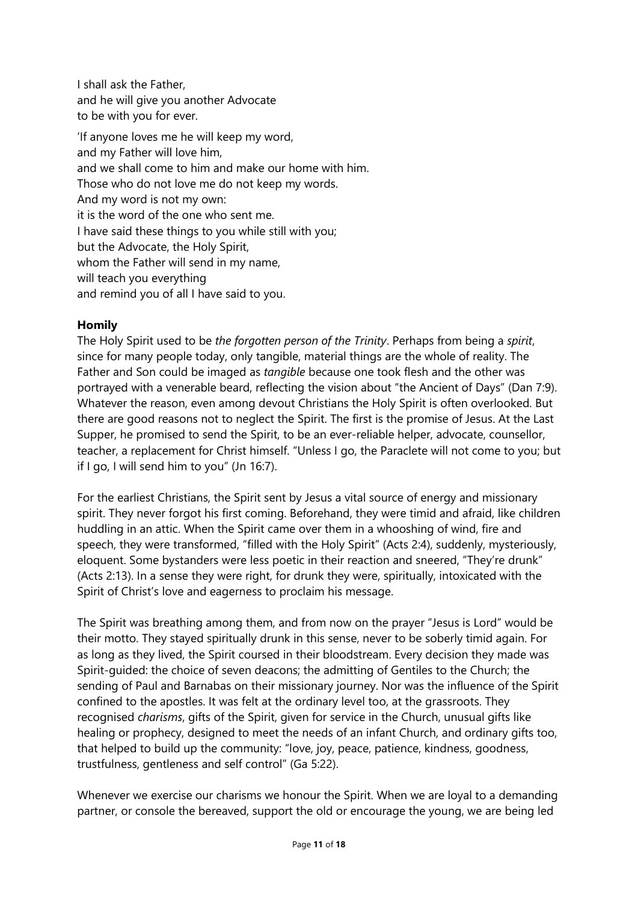I shall ask the Father, and he will give you another Advocate to be with you for ever.

'If anyone loves me he will keep my word, and my Father will love him, and we shall come to him and make our home with him. Those who do not love me do not keep my words. And my word is not my own: it is the word of the one who sent me. I have said these things to you while still with you; but the Advocate, the Holy Spirit, whom the Father will send in my name, will teach you everything and remind you of all I have said to you.

#### **Homily**

The Holy Spirit used to be *the forgotten person of the Trinity*. Perhaps from being a *spirit*, since for many people today, only tangible, material things are the whole of reality. The Father and Son could be imaged as *tangible* because one took flesh and the other was portrayed with a venerable beard, reflecting the vision about "the Ancient of Days" (Dan 7:9). Whatever the reason, even among devout Christians the Holy Spirit is often overlooked. But there are good reasons not to neglect the Spirit. The first is the promise of Jesus. At the Last Supper, he promised to send the Spirit, to be an ever-reliable helper, advocate, counsellor, teacher, a replacement for Christ himself. "Unless I go, the Paraclete will not come to you; but if I go, I will send him to you" (Jn 16:7).

For the earliest Christians, the Spirit sent by Jesus a vital source of energy and missionary spirit. They never forgot his first coming. Beforehand, they were timid and afraid, like children huddling in an attic. When the Spirit came over them in a whooshing of wind, fire and speech, they were transformed, "filled with the Holy Spirit" (Acts 2:4), suddenly, mysteriously, eloquent. Some bystanders were less poetic in their reaction and sneered, "They're drunk" (Acts 2:13). In a sense they were right, for drunk they were, spiritually, intoxicated with the Spirit of Christ's love and eagerness to proclaim his message.

The Spirit was breathing among them, and from now on the prayer "Jesus is Lord" would be their motto. They stayed spiritually drunk in this sense, never to be soberly timid again. For as long as they lived, the Spirit coursed in their bloodstream. Every decision they made was Spirit-guided: the choice of seven deacons; the admitting of Gentiles to the Church; the sending of Paul and Barnabas on their missionary journey. Nor was the influence of the Spirit confined to the apostles. It was felt at the ordinary level too, at the grassroots. They recognised *charisms*, gifts of the Spirit, given for service in the Church, unusual gifts like healing or prophecy, designed to meet the needs of an infant Church, and ordinary gifts too, that helped to build up the community: "love, joy, peace, patience, kindness, goodness, trustfulness, gentleness and self control" (Ga 5:22).

Whenever we exercise our charisms we honour the Spirit. When we are loyal to a demanding partner, or console the bereaved, support the old or encourage the young, we are being led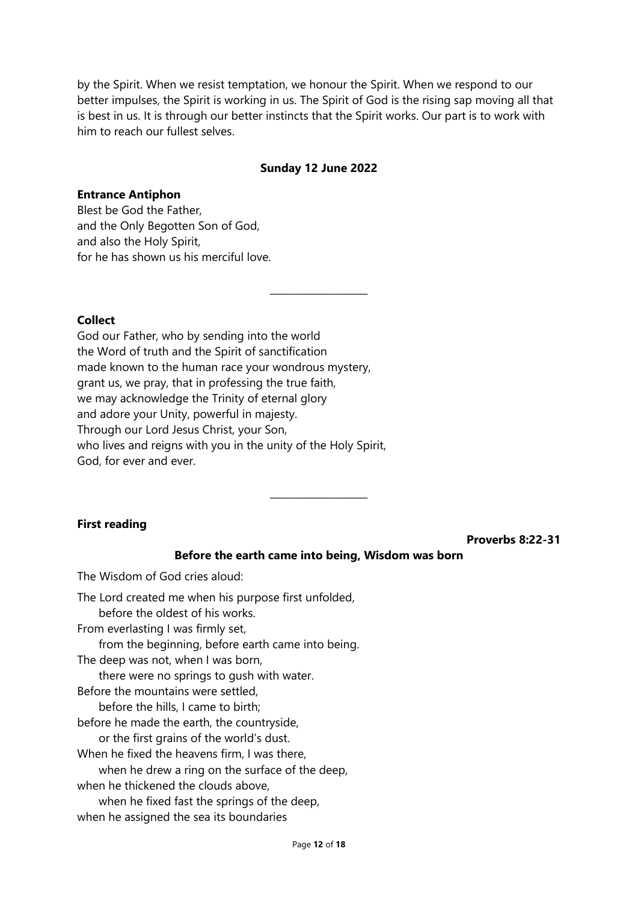by the Spirit. When we resist temptation, we honour the Spirit. When we respond to our better impulses, the Spirit is working in us. The Spirit of God is the rising sap moving all that is best in us. It is through our better instincts that the Spirit works. Our part is to work with him to reach our fullest selves.

#### **Sunday 12 June 2022**

\_\_\_\_\_\_\_\_\_\_\_\_\_\_\_\_\_\_\_\_

#### **Entrance Antiphon**

Blest be God the Father, and the Only Begotten Son of God, and also the Holy Spirit, for he has shown us his merciful love.

#### **Collect**

God our Father, who by sending into the world the Word of truth and the Spirit of sanctification made known to the human race your wondrous mystery, grant us, we pray, that in professing the true faith, we may acknowledge the Trinity of eternal glory and adore your Unity, powerful in majesty. Through our Lord Jesus Christ, your Son, who lives and reigns with you in the unity of the Holy Spirit, God, for ever and ever.

#### **First reading**

**Proverbs 8:22-31**

#### **Before the earth came into being, Wisdom was born**

 $\overline{\phantom{a}}$  , where  $\overline{\phantom{a}}$ 

The Wisdom of God cries aloud:

The Lord created me when his purpose first unfolded, before the oldest of his works. From everlasting I was firmly set, from the beginning, before earth came into being. The deep was not, when I was born, there were no springs to gush with water. Before the mountains were settled, before the hills, I came to birth; before he made the earth, the countryside, or the first grains of the world's dust. When he fixed the heavens firm, I was there, when he drew a ring on the surface of the deep, when he thickened the clouds above, when he fixed fast the springs of the deep, when he assigned the sea its boundaries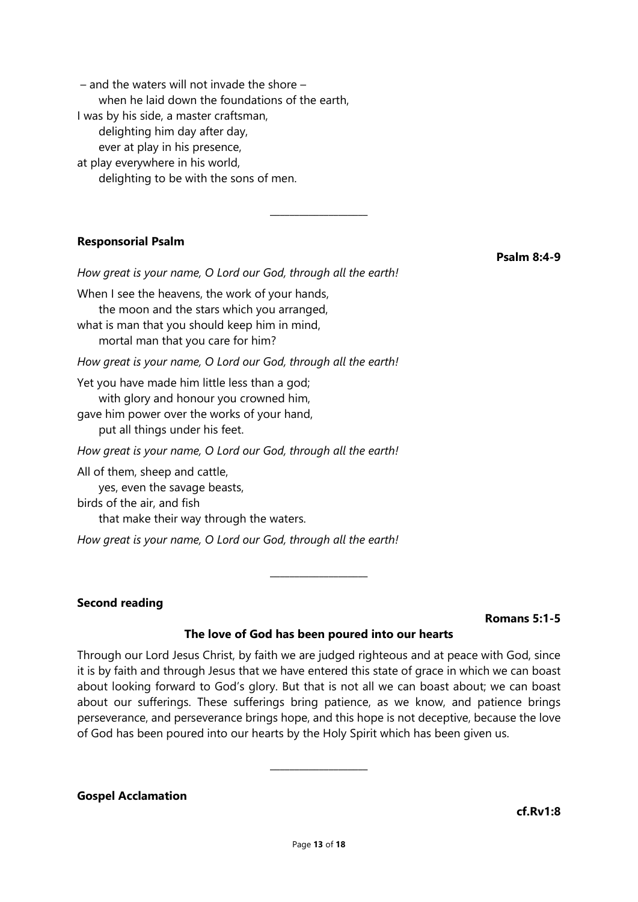– and the waters will not invade the shore – when he laid down the foundations of the earth, I was by his side, a master craftsman, delighting him day after day, ever at play in his presence, at play everywhere in his world, delighting to be with the sons of men.

#### **Responsorial Psalm**

*How great is your name, O Lord our God, through all the earth!*

\_\_\_\_\_\_\_\_\_\_\_\_\_\_\_\_\_\_\_\_

When I see the heavens, the work of your hands, the moon and the stars which you arranged, what is man that you should keep him in mind, mortal man that you care for him? *How great is your name, O Lord our God, through all the earth!*

Yet you have made him little less than a god; with glory and honour you crowned him, gave him power over the works of your hand, put all things under his feet.

*How great is your name, O Lord our God, through all the earth!*

All of them, sheep and cattle, yes, even the savage beasts, birds of the air, and fish that make their way through the waters. *How great is your name, O Lord our God, through all the earth!*

**Second reading**

#### **Romans 5:1-5**

#### **The love of God has been poured into our hearts**

 $\overline{\phantom{a}}$  , where  $\overline{\phantom{a}}$ 

Through our Lord Jesus Christ, by faith we are judged righteous and at peace with God, since it is by faith and through Jesus that we have entered this state of grace in which we can boast about looking forward to God's glory. But that is not all we can boast about; we can boast about our sufferings. These sufferings bring patience, as we know, and patience brings perseverance, and perseverance brings hope, and this hope is not deceptive, because the love of God has been poured into our hearts by the Holy Spirit which has been given us.

 $\overline{\phantom{a}}$  , where  $\overline{\phantom{a}}$ 

**Gospel Acclamation**

**Psalm 8:4-9**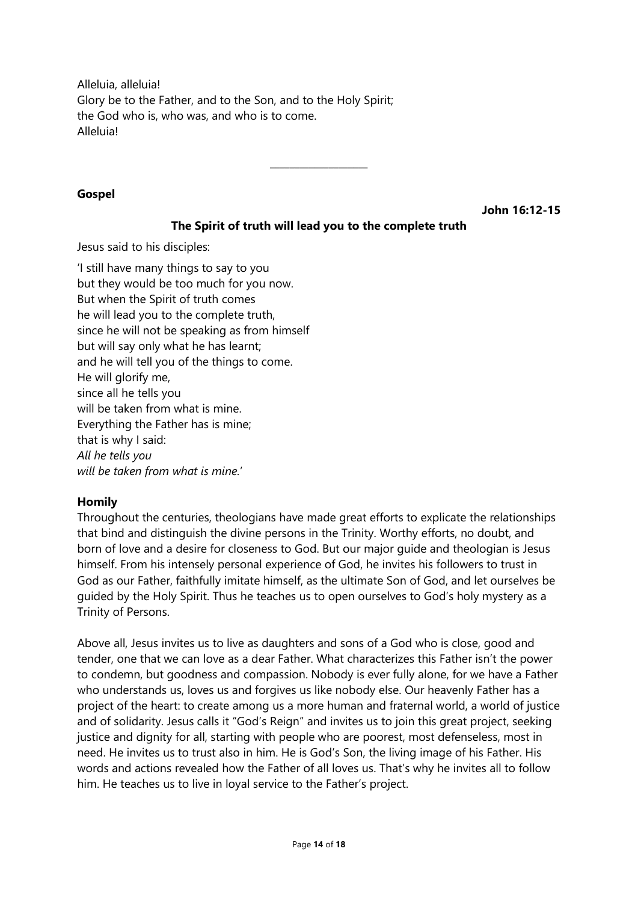Alleluia, alleluia! Glory be to the Father, and to the Son, and to the Holy Spirit; the God who is, who was, and who is to come. Alleluia!

#### **Gospel**

**John 16:12-15**

#### **The Spirit of truth will lead you to the complete truth**

 $\overline{\phantom{a}}$  , where  $\overline{\phantom{a}}$ 

Jesus said to his disciples:

'I still have many things to say to you but they would be too much for you now. But when the Spirit of truth comes he will lead you to the complete truth, since he will not be speaking as from himself but will say only what he has learnt; and he will tell you of the things to come. He will glorify me, since all he tells you will be taken from what is mine. Everything the Father has is mine; that is why I said: *All he tells you will be taken from what is mine.*'

#### **Homily**

Throughout the centuries, theologians have made great efforts to explicate the relationships that bind and distinguish the divine persons in the Trinity. Worthy efforts, no doubt, and born of love and a desire for closeness to God. But our major guide and theologian is Jesus himself. From his intensely personal experience of God, he invites his followers to trust in God as our Father, faithfully imitate himself, as the ultimate Son of God, and let ourselves be guided by the Holy Spirit. Thus he teaches us to open ourselves to God's holy mystery as a Trinity of Persons.

Above all, Jesus invites us to live as daughters and sons of a God who is close, good and tender, one that we can love as a dear Father. What characterizes this Father isn't the power to condemn, but goodness and compassion. Nobody is ever fully alone, for we have a Father who understands us, loves us and forgives us like nobody else. Our heavenly Father has a project of the heart: to create among us a more human and fraternal world, a world of justice and of solidarity. Jesus calls it "God's Reign" and invites us to join this great project, seeking justice and dignity for all, starting with people who are poorest, most defenseless, most in need. He invites us to trust also in him. He is God's Son, the living image of his Father. His words and actions revealed how the Father of all loves us. That's why he invites all to follow him. He teaches us to live in loyal service to the Father's project.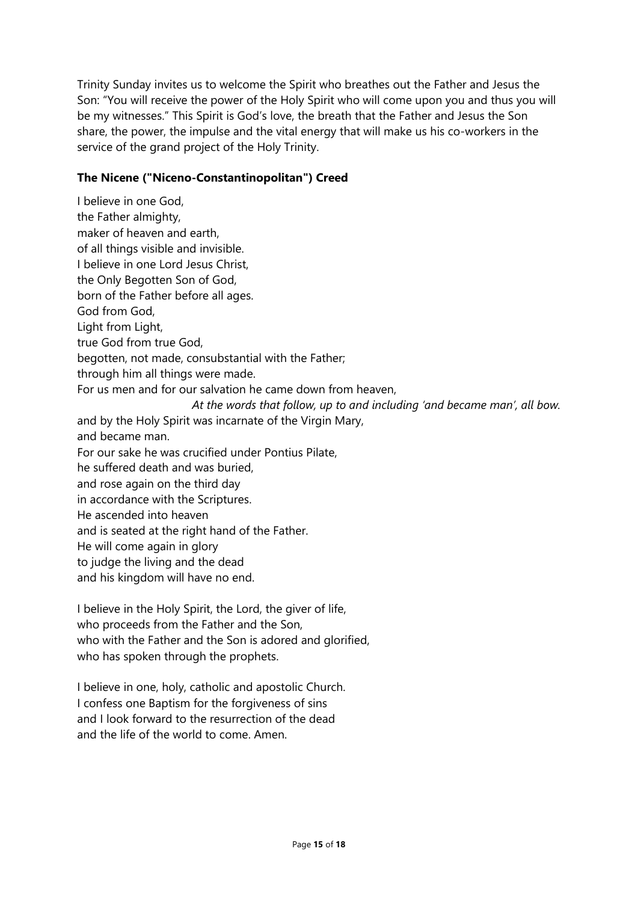Trinity Sunday invites us to welcome the Spirit who breathes out the Father and Jesus the Son: "You will receive the power of the Holy Spirit who will come upon you and thus you will be my witnesses." This Spirit is God's love, the breath that the Father and Jesus the Son share, the power, the impulse and the vital energy that will make us his co-workers in the service of the grand project of the Holy Trinity.

#### **The Nicene ("Niceno-Constantinopolitan") Creed**

I believe in one God, the Father almighty, maker of heaven and earth, of all things visible and invisible. I believe in one Lord Jesus Christ, the Only Begotten Son of God, born of the Father before all ages. God from God, Light from Light, true God from true God, begotten, not made, consubstantial with the Father; through him all things were made. For us men and for our salvation he came down from heaven, *At the words that follow, up to and including 'and became man', all bow.* and by the Holy Spirit was incarnate of the Virgin Mary, and became man. For our sake he was crucified under Pontius Pilate, he suffered death and was buried, and rose again on the third day in accordance with the Scriptures. He ascended into heaven and is seated at the right hand of the Father. He will come again in glory to judge the living and the dead and his kingdom will have no end.

I believe in the Holy Spirit, the Lord, the giver of life, who proceeds from the Father and the Son, who with the Father and the Son is adored and glorified, who has spoken through the prophets.

I believe in one, holy, catholic and apostolic Church. I confess one Baptism for the forgiveness of sins and I look forward to the resurrection of the dead and the life of the world to come. Amen.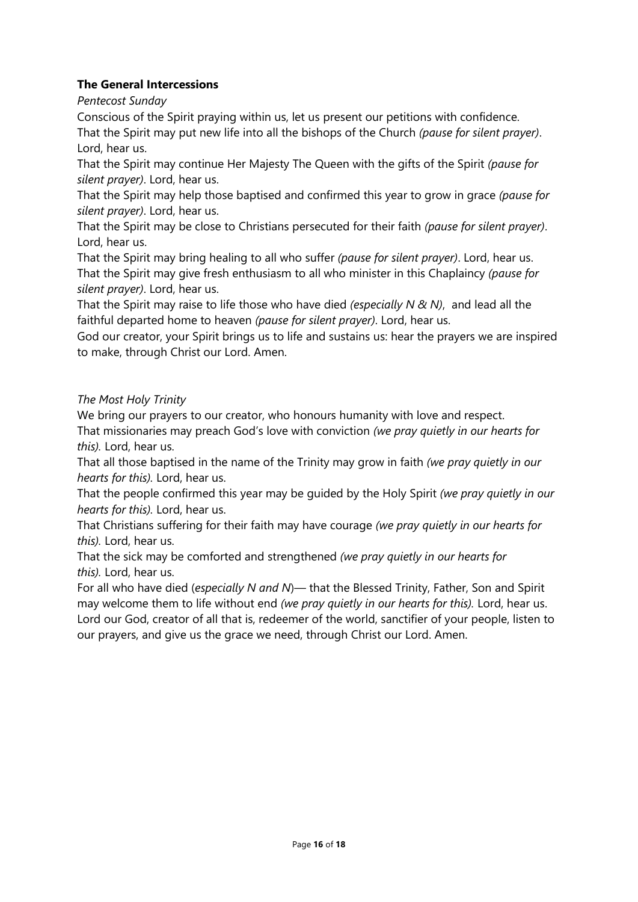#### **The General Intercessions**

*Pentecost Sunday*

Conscious of the Spirit praying within us, let us present our petitions with confidence. That the Spirit may put new life into all the bishops of the Church *(pause for silent prayer)*.

Lord, hear us.

That the Spirit may continue Her Majesty The Queen with the gifts of the Spirit *(pause for silent prayer)*. Lord, hear us.

That the Spirit may help those baptised and confirmed this year to grow in grace *(pause for silent prayer)*. Lord, hear us.

That the Spirit may be close to Christians persecuted for their faith *(pause for silent prayer)*. Lord, hear us.

That the Spirit may bring healing to all who suffer *(pause for silent prayer)*. Lord, hear us. That the Spirit may give fresh enthusiasm to all who minister in this Chaplaincy *(pause for silent prayer)*. Lord, hear us.

That the Spirit may raise to life those who have died *(especially N & N)*, and lead all the faithful departed home to heaven *(pause for silent prayer)*. Lord, hear us.

God our creator, your Spirit brings us to life and sustains us: hear the prayers we are inspired to make, through Christ our Lord. Amen.

*The Most Holy Trinity*

We bring our prayers to our creator, who honours humanity with love and respect. That missionaries may preach God's love with conviction *(we pray quietly in our hearts for this).* Lord, hear us.

That all those baptised in the name of the Trinity may grow in faith *(we pray quietly in our hearts for this).* Lord, hear us.

That the people confirmed this year may be guided by the Holy Spirit *(we pray quietly in our hearts for this).* Lord, hear us.

That Christians suffering for their faith may have courage *(we pray quietly in our hearts for this).* Lord, hear us.

That the sick may be comforted and strengthened *(we pray quietly in our hearts for this).* Lord, hear us.

For all who have died (*especially N and N*)— that the Blessed Trinity, Father, Son and Spirit may welcome them to life without end *(we pray quietly in our hearts for this).* Lord, hear us. Lord our God, creator of all that is, redeemer of the world, sanctifier of your people, listen to our prayers, and give us the grace we need, through Christ our Lord. Amen.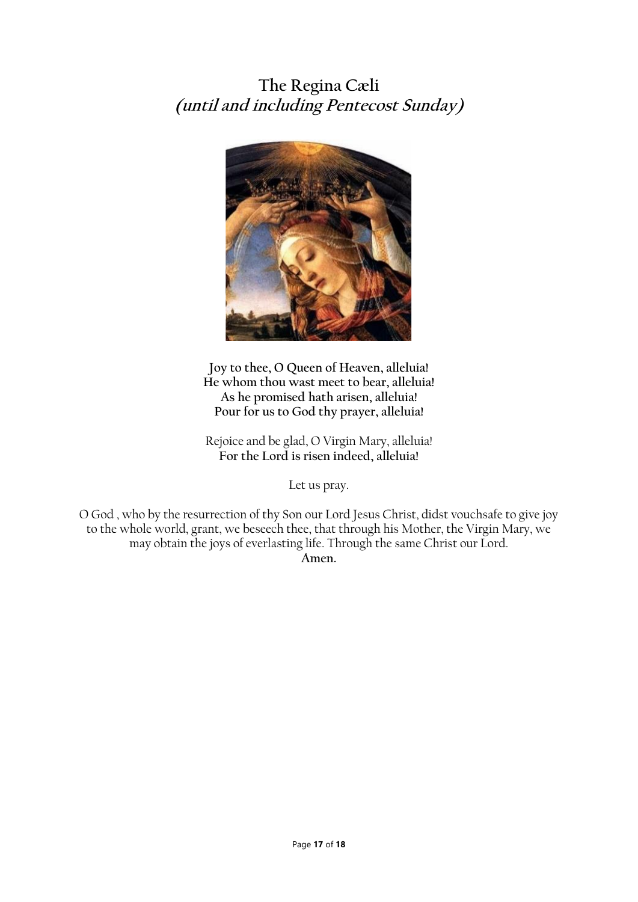# **The Regina Cæli (until and including Pentecost Sunday)**



**Joy to thee, O Queen of Heaven, alleluia! He whom thou wast meet to bear, alleluia! As he promised hath arisen, alleluia! Pour for us to God thy prayer, alleluia!**

Rejoice and be glad, O Virgin Mary, alleluia! **For the Lord is risen indeed, alleluia!**

Let us pray.

O God , who by the resurrection of thy Son our Lord Jesus Christ, didst vouchsafe to give joy to the whole world, grant, we beseech thee, that through his Mother, the Virgin Mary, we may obtain the joys of everlasting life. Through the same Christ our Lord. **Amen.**